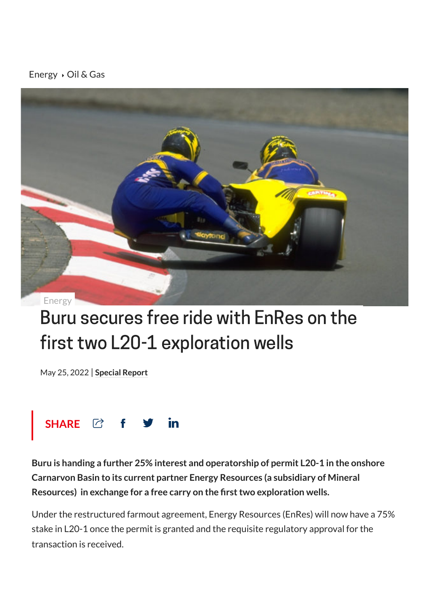## [Energy](https://stockhead.com.au/category/energy)  $\rightarrow$  Oil & [Gas](https://stockhead.com.au/topic/oil-and-gas/)



## Buru secures free ride with EnRes on the first two L20-1 exploration wells

May 25, 2022 | **[Special](https://stockhead.com.au/author/special-report/) Report**



**Buru is handing a further 25% interest and operatorship of permit L20-1 in the onshore Carnarvon Basin to its current partner Energy Resources (a subsidiary of Mineral Resources) in exchange for a free carry on the firsttwo exploration wells.**

Under the restructured farmout agreement, Energy Resources (EnRes) will now have a 75% stake in L20-1 once the permit is granted and the requisite regulatory approval for the transaction is received.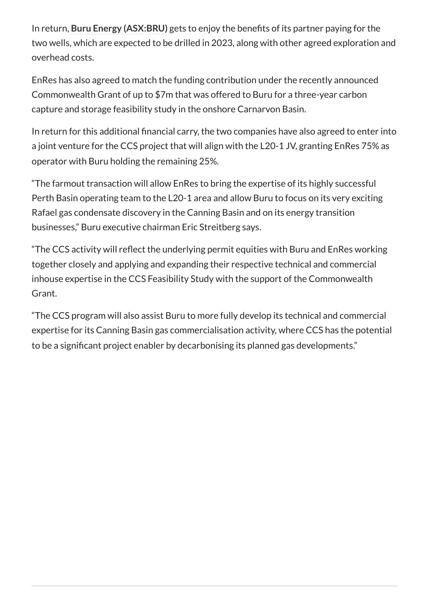In return, **Buru Energy [\(ASX:BRU\)](https://stockhead.com.au/company/buru-energy-bru/)** gets to enjoy the benefits of its partner paying for the two wells, which are expected to be drilled in 2023, along with other agreed exploration and overhead costs.

EnRes has also agreed to match the funding contribution under the recently announced Commonwealth Grant of up to \$7m that was offered to Buru for a three-year carbon capture and storage feasibility study in the onshore Carnarvon Basin.

In return for this additional financial carry, the two companies have also agreed to enter into a joint venture for the CCS project that will align with the L20-1 JV, granting EnRes 75% as operator with Buru holding the remaining 25%.

"The farmout transaction will allow EnRes to bring the expertise of its highly successful Perth Basin operating team to the L20-1 area and allow Buru to focus on its very exciting Rafael gas condensate discovery in the Canning Basin and on its energy transition businesses," Buru executive chairman Eric Streitberg says.

"The CCS activity will reflect the underlying permit equities with Buru and EnRes working together closely and applying and expanding their respective technical and commercial inhouse expertise in the CCS Feasibility Study with the support of the Commonwealth Grant.

"The CCS program will also assist Buru to more fully develop its technical and commercial expertise for its Canning Basin gas commercialisation activity, where CCS has the potential to be a significant project enabler by decarbonising its planned gas developments."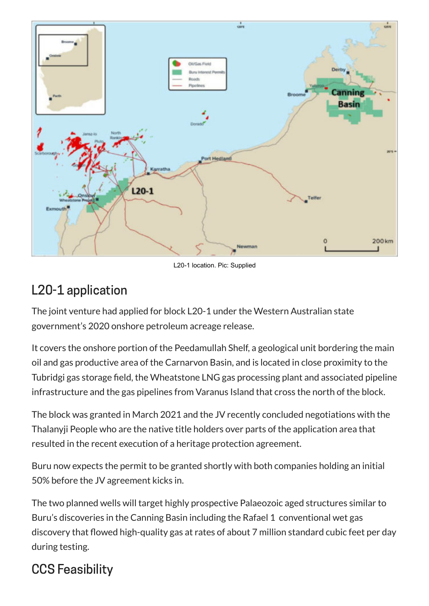

L20-1 location. Pic: Supplied

## L20-1 application

The joint venture had applied for block L20-1 under the Western Australian state government's 2020 onshore petroleum acreage release.

It covers the onshore portion of the Peedamullah Shelf, a geological unit bordering the main oil and gas productive area of the Carnarvon Basin, and is located in close proximity to the Tubridgi gas storage field, the Wheatstone LNG gas processing plant and associated pipeline infrastructure and the gas pipelines from Varanus Island that cross the north of the block.

The block was granted in March 2021 and the JV recently concluded negotiations with the Thalanyji People who are the native title holders over parts of the application area that resulted in the recent execution of a heritage protection agreement.

Buru now expects the permit to be granted shortly with both companies holding an initial 50% before the JV agreement kicks in.

The two planned wells will target highly prospective Palaeozoic aged structures similar to Buru's discoveries in the Canning Basin including the Rafael 1 conventional wet gas discovery that flowed high-quality gas at rates of about 7 million standard cubic feet per day during testing.

## CCS Feasibility